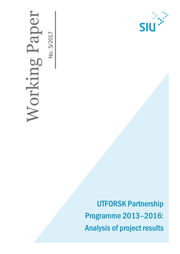# Vorking Paper No. 5/2017 No. 5/2017



UTFORSK Partnership Programme 2013–2016: Analysis of project results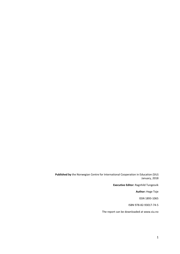**Published by** the Norwegian Centre for International Cooperation in Education (SIU) January, 2018

**Executive Editor:** Ragnhild Tungesvik

**Author:** Hege Toje

ISSN 1893‐1065

ISBN 978-82-93017-74-5

The report can be downloaded at www.siu.no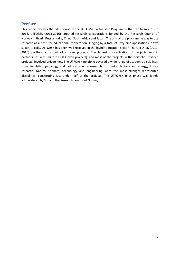# <span id="page-2-0"></span>**Preface**

This report reviews the pilot period of the UTFORSK Partnership Programme that ran from 2013 to 2016. UTFORSK (2013-2016) targeted research collaborations funded by the Research Council of Norway in Brazil, Russia, India, China, South Africa and Japan. The aim of the programme was to use research as a basis for educational cooperation. Judging by a total of sixty-nine applications in two separate calls, UTFORSK has been well received in the higher education sector. The UTFORSK (2013-2016) portfolio consisted of sixteen projects. The largest concentration of projects was in partnerships with Chinese HEIs (seven projects), and most of the projects in the portfolio (thirteen projects) involved universities. The UTFORSK portfolio covered a wide range of academic disciplines, from linguistics, pedagogy and political science research to physics, biology and energy/climate research. Natural sciences, technology and engineering were the most strongly represented disciplines, constituting just under half of the projects. The UTFORSK pilot phase was jointly administered by SIU and the Research Council of Norway.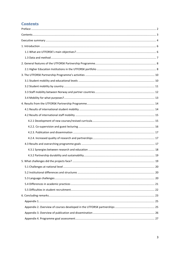# <span id="page-3-0"></span>**Contents**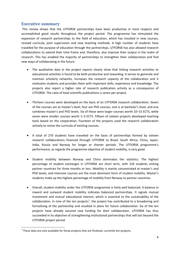# <span id="page-4-0"></span>**Executive summary**

This review shows that the UTFORSK partnerships have been productive in most respects and accomplished good results throughout the project period. The programme has stimulated the expansion of research partnerships to the field of education, which has resulted in new courses, revised curricula, joint supervision and new teaching methods. A high number of students have travelled for the purpose of education through the partnerships. UTFORSK has also allowed research collaborations to extend their time frame and, therefore, also improve their output in the realm of research. This has enabled the majority of partnerships to strengthen their collaboration and find new ways of collaborating in the future.

- The qualitative data in the project reports clearly show that linking research activities to educational activities is found to be both productive and rewarding. It serves to generate and maintain scholarly networks, increases the research capacity of the collaboration and it motivates students and provides them with important skills, experience and knowledge. The projects also report a higher rate of research publication activity as a consequence of UTFORSK. The ratio of total scientific publications is seven per project.
- Thirteen courses were developed on the basis of an UTFORSK research collaboration. Seven of the courses are at master's level, four are PhD courses, one is at bachelor's level, and one combines master's and PhD levels. Six of these were larger courses worth 10–15 ECTS, while seven were smaller courses worth 1–3 ECTS. Fifteen of sixteen projects developed teaching tools based on the cooperation. Fourteen of the projects used the research collaboration actively to revise the curricula of existing courses.
- A total of 270 students have travelled on the basis of partnerships formed by sixteen research collaborations financed through UTFORSK to Brazil, South Africa, China, Japan, India, Russia and Norway for longer or shorter periods. The UTFORSK programme's performance, as regards the programme objective of student mobility, is very good.
- Student mobility between Norway and China dominates the statistics. The highest percentage of student exchanges in UTFORSK are short term, with 234 students visiting partner countries for three months or less. Mobility is mainly concentrated at master's and PhD levels, and intensive courses are the most dominant form of student mobility. Master's students make up the highest percentage of mobility from Norway to partner countries.
- Overall, student mobility under the UTFORSK programme is fairly well balanced. A balance in inward and outward student mobility indicates balanced partnerships. It signals mutual investment and mutual educational interest, which is essential to the sustainability of the collaboration. In nine of the ten projects<sup>[1](#page-4-1)</sup>, the project has contributed to a broadening and formalising of the partnership and resulted in plans for future collaboration. Six of the ten projects have already secured new funding for their collaboration. UTFORSK has thus succeeded in its objective of strengthening institutional partnerships that will last beyond the UTFORSK project period.

l

<span id="page-4-1"></span> $1$  These data are only available for those projects that are finalised, currently ten projects.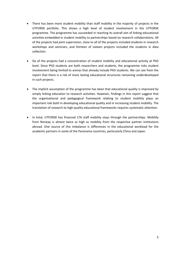- There has been more student mobility than staff mobility in the majority of projects in the UTFORSK portfolio. This shows a high level of student involvement in the UTFORSK programme. The programme has succeeded in reaching its overall aim of linking educational activities embedded in student mobility to partnerships based on research collaborations. All of the projects had joint supervision, close to all of the projects included students in research workshops and seminars, and thirteen of sixteen projects included the students in data collection.
- Six of the projects had a concentration of student mobility and educational activity at PhD level. Since PhD students are both researchers and students, the programme risks student involvement being limited to arenas that already include PhD students. We can see from the report that there is a risk of more lasting educational structures remaining underdeveloped in such projects.
- The implicit assumption of the programme has been that educational quality is improved by simply linking education to research activities. However, findings in this report suggest that the organisational and pedagogical framework relating to student mobility plays an important role both in developing educational quality and in increasing student mobility. The translation of research to high quality educational frameworks requires systematic attention.
- In total, UTFORSK has financed 176 staff mobility stays through the partnerships. Mobility from Norway is almost twice as high as mobility from the respective partner institutions abroad. One source of this imbalance is differences in the educational workload for the academic partners in some of the Panorama countries, particularly China and Japan.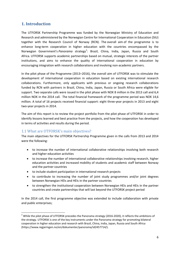# <span id="page-6-0"></span>**1. Introduction**

The UTFORSK Partnership Programme was funded by the Norwegian Ministry of Education and Research and administered by the Norwegian Centre for International Cooperation in Education (SIU) together with the Research Council of Norway (RCN). The overall aim of the programme is to enhance long-term cooperation in higher education with the countries encompassed by the Norwegian Government's Panorama strategy<sup>[2](#page-6-2)</sup>: Brazil, China, India, Japan, Russia and South Africa. UTFORSK supports academic partnerships based on mutual, strategic interests of the partner institutions, and aims to enhance the quality of international cooperation in education by encouraging integration with research collaborations and involving non-academic partners.

In the pilot phase of the Programme (2013–2016), the overall aim of UTFORSK was to stimulate the development of international cooperation in education based on existing international research collaborations. Furthermore, only applicants with previous or ongoing research collaborations funded by RCN with partners in Brazil, China, India, Japan, Russia or South Africa were eligible for support. Two separate calls were issued in the pilot phase with NOK 8 million in the 2013 call and 6,4 million NOK in the 2014 call. The total financial framework of the programme period was NOK 14,6 million. A total of 16 projects received financial support: eight three-year projects in 2013 and eight two-year projects in 2014.

The aim of this report is to review the project portfolio from the pilot phase of UTFORSK in order to identify lessons learned and best practice from the projects, and how the cooperation has developed in terms of activities and results during the period.

# <span id="page-6-1"></span>1.1 What are UTFORSK's main objectives?

 $\overline{a}$ 

The main objectives for the UTFORSK Partnership Programme given in the calls from 2013 and 2014 were the following:

- to increase the number of international collaborative relationships involving both research and higher education activities
- to increase the number of international collaborative relationships involving research, higher education activities and increased mobility of students and academic staff between Norway and the partner countries
- to include student participation in international research projects
- to contribute to increasing the number of joint study programmes and/or joint degrees between Norwegian HEIs and HEIs in the partner countries
- to strengthen the institutional cooperation between Norwegian HEIs and HEIs in the partner countries and create partnerships that will last beyond the UTFORSK project period

In the 2014 call, the first programme objective was extended to include collaboration with private and public enterprises;

<span id="page-6-2"></span><sup>&</sup>lt;sup>2</sup> While the pilot phase of UTFORSK precedes the Panorama strategy (2016-2020), it reflects the ambitions of the strategy. UTFORSK is one of the key instruments under the Panorama strategy for promoting bilateral cooperation in higher education and research with Brazil, China, India, Japan, Russia and South Africa (https://www.regjeringen.no/en/dokumenter/panorama/id2457714/).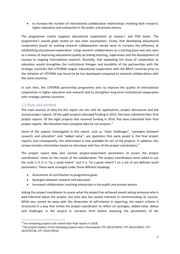• to increase the number of international collaborative relationships involving both research, higher education and enterprises in the public and private sectors.

The programme mainly targeted educational cooperation at master's and PhD levels. The programme's overall goals rested on two main assumptions. Firstly, that developing educational cooperation based on existing research collaborations would serve to increase the efficiency of establishing educational cooperation. Using research collaborations as a starting point was also seen as a means of improving educational quality by linking teaching, supervision and the development of courses to ongoing international research. Secondly, that expanding the areas of cooperation to education would strengthen the institutional linkages and durability of the partnerships with the strategic countries that UTFORSK targets. Educational cooperation with the BRICS countries prior to the initiation of UTFORSK was found to be less developed compared to research collaborations with the same countries.

In sum then, the UTFORSK partnership programme aims to improve the quality of international cooperation in higher education and research and to strengthen long-term institutional cooperation with strategic partner countries.

# <span id="page-7-0"></span>1.3 Data and method

The main sources of data for this report are the calls for applications, project documents and the annual project reports. Of the eight projects allocated funding in 2013, five have submitted their final project reports. Of the eight projects that received funding in 2014, five have submitted their final project reports. We therefore have complete data for ten projects.<sup>[3](#page-7-1)</sup>

Some of the aspects investigated in this report, such as "main challenges", "synergies between research and education" and "added value", are questions that were posed in the final project reports, and consequently, this information is only available for ten of the projects. In addition, this review includes information based on interviews with four of the project coordinators.<sup>[4](#page-7-2)</sup>

The project report data also contain project-assessment parameters to access the project coordinators' views on the results of the collaboration. The project coordinators were asked to use the scale 1–5 (1 is "to a small extent" and 5 is "to a great extent") on a set of pre-defined result parameters. These were arranged under three different headings:

- Assessment of contribution to programme goals
- Synergies between research and education
- Increased collaboration involving enterprises in the public and private sectors

Asking the project coordinator to assess what the project has achieved meant asking someone who is well-informed about the project, but who also has vested interests in communicating its success. While you cannot do away with this dimension of self-interest in reporting, the report scheme is structured in a way that invites the project coordinator to reflect on synergies, added-value, delays and challenges in the project in narrative form before assessing the parameters of the

 $\overline{a}$ 

<span id="page-7-1"></span> $3$  The remaining projects will submit their final reports in 2018.

<span id="page-7-2"></span><sup>4</sup> The project leaders of the following projects were interviewed: UTF-2013/10070, UTF-2014/10032, UTF-2013/10136, UTF-2013/10018.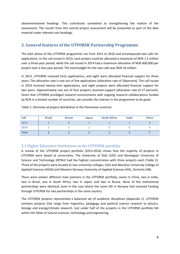abovementioned headings. This contributes somewhat to strengthening the realism of the assessment. The results from this overall project assessment will be presented as part of the data material under relevant sub-headings.

# <span id="page-8-0"></span>**2. General features of the UTFORSK Partnership Programme**

The pilot phase of the UTFORSK programme ran from 2013 to 2016 and encompassed two calls for applications. In the call issued in 2013, each project could be allocated a maximum of NOK 1.5 million over a three-year period, while the call issued in 2014 had a maximum allocation of NOK 800,000 per project over a two-year period. The total budget for the two calls was NOK 16 million.

In 2013, UTFORSK received forty applications, and eight were allocated financial support for three years**.** The allocation rate is one out of five applications (allocation rate of 20percent). The call issued in 2014 received twenty-nine applications, and eight projects were allocated financial support for two years. Approximately one out of four projects received support (allocation rate of 27 percent). Given that UTFORSK privileged research environments with ongoing research collaborations funded by RCN in a limited number of countries, we consider the interest in the programme to be good.

| Call         | <b>Brazil</b> | <b>Russia</b> | Japan | <b>South Africa</b> | <b>India</b> | <b>China</b> |
|--------------|---------------|---------------|-------|---------------------|--------------|--------------|
| 2013         |               |               |       |                     |              |              |
| 2014         |               |               |       |                     |              |              |
| <b>Total</b> |               |               |       |                     |              |              |

Table 1: *Overview of project distribution in the Panorama countries*

# <span id="page-8-1"></span>2.1 Higher Education Institutions in the UTFORSK portfolio

A review of the UTFORSK project portfolio (2013-2016) shows that the majority of projects in UTFORSK were based at universities. The University of Oslo (UiO) and Norwegian University of Science and Technology (NTNU) had the highest concentration with three projects each (Table 2). Three of the projects were located at two university colleges, Oslo and Akershus University College of Applied Sciences (HiOA) and Western Norway University of Applied Sciences (HVL, formerly HiB).

There were sixteen different main partners in the UTFORSK portfolio; seven in China, two in India, two in Brazil, one in South Africa, two in Japan, and two in Russia. None of the institutional partnerships were identical, even in the case where the same HEI in Norway had received funding through UTFORSK for two partnerships in the same country.

The UTFORSK projects represented a balanced set of academic disciplines (Appendix 1). UTFORSK contains projects that range from linguistics, pedagogy and political science research to physics, biology and energy/climate research. Just under half of the projects in the UTFORSK portfolio fell within the fields of natural sciences, technology and engineering.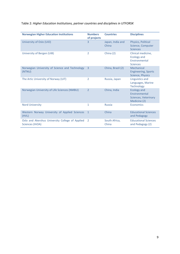# Table 2: *Higher Education Institutions, partner countries and disciplines in UTFORSK*

| <b>Norwegian Higher Education Institutions</b>                     | <b>Numbers</b><br>of projects | <b>Countries</b>          | <b>Disciplines</b>                                                           |
|--------------------------------------------------------------------|-------------------------------|---------------------------|------------------------------------------------------------------------------|
| University of Oslo (UiO)                                           | $\overline{3}$                | Japan, India and<br>China | Physics, Political<br>Science, Computer<br><b>Sciences</b>                   |
| University of Bergen (UiB)                                         | 2                             | China (2)                 | Clinical medicine,<br><b>Ecology and</b><br>Environmental<br><b>Sciences</b> |
| Norwegian University of Science and Technology<br>(NTNU)           | $\overline{3}$                | China, Brazil (2)         | Mechanical<br><b>Engineering, Sports</b><br>Science, Physics                 |
| The Artic University of Norway (UiT)                               | 2                             | Russia, Japan             | Linguistics and<br>Languages, Marine<br><b>Technology</b>                    |
| Norwegian University of Life Sciences (NMBU)                       | $\overline{2}$                | China, India              | <b>Ecology and</b><br>Environmental<br>Sciences, Veterinary<br>Medicine (2)  |
| <b>Nord University</b>                                             | 1                             | <b>Russia</b>             | <b>Economics</b>                                                             |
| Western Norway University of Applied Sciences<br>(HVL)             | $\mathbf{1}$                  | China                     | <b>Educational Sciences</b><br>and Pedagogy                                  |
| Oslo and Akershus University College of Applied<br>Sciences (HiOA) | 2                             | South Africa,<br>China    | <b>Educational Sciences</b><br>and Pedagogy (2)                              |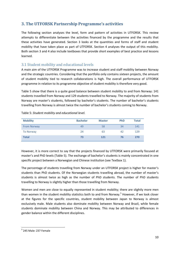# <span id="page-10-0"></span>**3. The UTFORSK Partnership Programme's activities**

The following section analyses the level, form and pattern of activities in UTFORSK. This review attempts to differentiate between the activities financed by the programme and the results that these activities have generated. Section 3 looks at the quantities and forms of staff and student mobility that have taken place as part of UTFORSK. Section 4 analyses the output of this mobility. Both section 3 and 4 also include textboxes that provide short examples of best practice and lessons learned.

# <span id="page-10-1"></span>3.1 Student mobility and educational levels

A main aim of the UTFORSK Programme was to increase student and staff mobility between Norway and the strategic countries. Considering that the portfolio only contains sixteen projects, the amount of student mobility tied to research collaborations is high. The overall performance of UTFORSK programme in relation to its programme objective of student mobility is therefore very good.

Table 5 show that there is a quite good balance between student mobility to and from Norway: 141 students travelled from Norway and 129 students travelled to Norway. The majority of students from Norway are master's students, followed by bachelor's students. The number of bachelor's students travelling from Norway is almost twice the number of bachelor's students coming to Norway.

| <b>Mobility</b>    | <b>Bachelor</b> | <b>Master</b> | <b>PhD</b> | <b>Total</b> |
|--------------------|-----------------|---------------|------------|--------------|
| <b>From Norway</b> | 49              | 58            | 34         | 141          |
| <b>To Norway</b>   | 24              | 63            | 42         | 129          |
| <b>Total</b>       | 73              | 121           | 76         | 270          |

However, it is more correct to say that the projects financed by UTFORSK were primarily focused at master's and PhD levels (Table 5). The exchange of bachelor's students is mainly concentrated in one specific project between a Norwegian and Chinese institution (see Textbox 1).

The percentage of students travelling from Norway under an UTFORSK project is higher for master's students than PhD students. Of the Norwegian students travelling abroad, the number of master's students is almost twice as high as the number of PhD students. The number of PhD students travelling to Norway is slightly higher than those travelling from Norway.

Women and men are close to equally represented in student mobility; there are slightly more men than women in the student mobility statistics both to and from Norway.<sup>[5](#page-10-2)</sup> However, if we look closer at the figures for the specific countries, student mobility between Japan to Norway is almost exclusively male. Male students also dominate mobility between Norway and Brazil, while female students dominate mobility between China and Norway. This may be attributed to differences in gender balance within the different disciplines.

l

<span id="page-10-2"></span> $<sup>5</sup>$  245 Male: 237 Female</sup>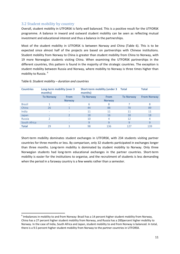# <span id="page-11-0"></span>3.2 Student mobility by country

Overall, student mobility in UTFORSK is fairly well balanced. This is a positive result for the UTFORSK programme. A balance in inward and outward student mobility can be seen as reflecting mutual investment and educational interest and thus a balance in the partnerships.

Most of the student mobility in UTFORSK is between Norway and China (Table 6). This is to be expected since almost half of the projects are based on partnerships with Chinese institutions. Student mobility from Norway to China is greater than student mobility from China to Norway, with 19 more Norwegian students visiting China. When examining the UTFORSK partnerships in the different countries, this pattern is found in the majority of the strategic countries. The exception is student mobility between Russia and Norway, where mobility to Norway is three times higher than mobility to Russia. [6](#page-11-1)

| <b>Countries</b> | Long-term mobility (over 3<br>months) |                              | <b>Short-term mobility (under 3</b><br>months) |                              | Total            | <b>Total</b>       |
|------------------|---------------------------------------|------------------------------|------------------------------------------------|------------------------------|------------------|--------------------|
|                  | <b>To Norway</b>                      | <b>From</b><br><b>Norway</b> | <b>To Norway</b>                               | <b>From</b><br><b>Norway</b> | <b>To Norway</b> | <b>From Norway</b> |
| <b>Brazil</b>    |                                       |                              | 6                                              | 8                            | 7                | 8                  |
| China            | 26                                    |                              | 44                                             | 88                           | 70               | 89                 |
| India            | ٠                                     |                              | 11                                             | 11                           | 11               | 11                 |
| Japan            | -                                     |                              | 18                                             | 16                           | 18               | 18                 |
| <b>Russia</b>    | 2                                     |                              | 10                                             | 4                            | 12               | 4                  |
| South Africa     | $\qquad \qquad -$                     |                              | 9                                              | 9                            | 9                | 9                  |
| <b>Total</b>     | 29                                    | 3                            | 98                                             | 136                          | 127              | 139                |

#### Table 6: *Student mobility – duration and countries*

 $\overline{a}$ 

Short-term mobility dominates student exchanges in UTFORSK, with 234 students visiting partner countries for three months or less. By comparison, only 32 students participated in exchanges longer than three months. Long-term mobility is dominated by student mobility to Norway. Only three Norwegian students had long-term educational exchanges in the partner countries. Short-term mobility is easier for the institutions to organise, and the recruitment of students is less demanding when the period in a faraway country is a few weeks rather than a semester.

<span id="page-11-1"></span> $6$  Imbalances in mobility to and from Norway: Brazil has a 14 percent higher student mobility from Norway, China has a 27 percent higher student mobility from Norway, and Russia has a 200percent higher mobility to Norway. In the case of India, South Africa and Japan, student mobility to and from Norway is balanced. In total, there is a 9.5 percent higher student mobility from Norway to the partner countries in UTFORSK.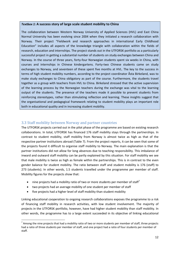#### *Textbox 1:* **A success story of large scale student mobility to China**

The collaboration between Western Norway University of Applied Sciences (HVL) and East China Normal University has been evolving since 2004 when they initiated a research collaboration with Norway. Their project "Fieldwork and research approaches in international Early Childhood Education" includes all aspects of the knowledge triangle with collaboration within the fields of research, education and internships. The project stands out in the UTFORSK portfolio as a particularly successful project in getting a substantial number of students on study exchanges between China and Norway. In the course of three years, forty-four Norwegian students spent six weeks in China, with courses and internships in Chinese kindergartens. Forty-two Chinese students came on study exchanges to Norway, and seventeen of these spent five months at HVL. The key to the success in terms of high student mobility numbers, according to the project coordinator Åsta Birkeland, was to make study exchanges to China obligatory as part of the course. Furthermore, the students travel together as a group with teachers from HVL to China. Birkeland stressed that the active supervision of the learning process by the Norwegian teachers during the exchange was vital to the learning output of the students. The presence of the teachers made it possible to prevent students from reinforcing stereotypes, rather than stimulating reflection and learning. These insights suggest that the organisational and pedagogical framework relating to student mobility plays an important role both in educational quality and in increasing student mobility.

# <span id="page-12-0"></span>3.3 Staff mobility between Norway and partner countries

The UTFORSK projects carried out in the pilot phase of the programme are based on existing research collaborations. In total, UTFORSK has financed 176 staff mobility stays through the partnerships. In contrast to student mobility, staff mobility from Norway is almost twice as high as that of the respective partner institutions abroad (Table 7). From the project reports, it can be seen that some of the projects found it difficult to organise staff mobility to Norway. The main explanation is that the partner institutions did not allow for long absences due to teaching responsibility. This imbalance of inward and outward staff mobility can be partly explained by this situation. For staff mobility we see that male mobility is twice as high as female within the partnerships. This is in contrast to the even gender balance for student mobility. The ratio between staff and student mobility is 176 (staff) to 273 (students). In other words, 1.5 students travelled under the programme per member of staff. Mobility figures for the projects show that:

- nine projects had a mobility ratio of two or more students per member of staff<sup>[7](#page-12-1)</sup>
- two projects had an average mobility of one student per member of staff
- five projects had a higher level of staff mobility than student mobility

Linking educational cooperation to ongoing research collaborations exposes the programme to a risk of financing staff mobility in research activities, with low student involvement. The majority of projects in the UTFORSK portfolio, however, have had higher student mobility than staff mobility. In other words, the programme has to a large extent succeeded in its objective of linking educational

<span id="page-12-1"></span> $^7$  Among the nine projects that had a mobility ratio of two or more students per member of staff, three projects had a ratio of three students per member of staff, and one project had a ratio of four students per member of staff.  $\overline{a}$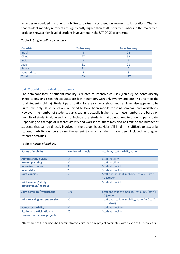activities (embedded in student mobility) to partnerships based on research collaborations. The fact that student mobility numbers are significantly higher than staff mobility numbers in the majority of projects shows a high level of student involvement in the UTFORSK programme.

| <b>Countries</b> | <b>To Norway</b> | <b>From Norway</b> |
|------------------|------------------|--------------------|
| <b>Brazil</b>    |                  | 22                 |
| China            | 27               | 59                 |
| India            | 3                |                    |
| Japan            | 11               | 21                 |
| Russia           | 11               |                    |
| South Africa     | 4                |                    |
| <b>Total</b>     | 59               | 117                |

#### Table 7: *Staff mobility by country*

## <span id="page-13-0"></span>3.4 Mobility for what purposes?

The dominant form of student mobility is related to intensive courses (Table 8). Students directly linked to ongoing research activities are few in number, with only twenty students (7 percent of the total student mobility). Student participation in research workshops and seminars also appears to be quite low; only 30 students are reported to have been mobile for joint seminars and workshops. However, the number of students participating is actually higher, since these numbers are based on mobility of students alone and do not include local students that do not need to travel to participate. Depending on the type of research activity and workshops, there may also be limits to the number of students that can be directly involved in the academic activities. All in all, it is difficult to assess by student mobility numbers alone the extent to which students have been included in ongoing research activities.

| <b>Forms of mobility</b>                                           | <b>Number of travels</b> | <b>Student/staff mobility ratio</b>                             |
|--------------------------------------------------------------------|--------------------------|-----------------------------------------------------------------|
| <b>Administrative visits</b>                                       | $13*$                    | Staff mobility                                                  |
| <b>Project planning</b>                                            | 27                       | Staff mobility                                                  |
| <b>Intensive courses</b>                                           | 95                       | <b>Student mobility</b>                                         |
| <b>Internships</b>                                                 | 7                        | <b>Student mobility</b>                                         |
| <b>Joint courses</b>                                               | 68                       | Staff and student mobility, ratio 21 (staff):<br>47 (students)  |
| Joint courses/ study<br>programmes/ degrees                        | 1                        | <b>Student mobility</b>                                         |
| Joint seminars/ workshops                                          | 130                      | Staff and student mobility, ratio 100 (staff):<br>30 (students) |
| Joint teaching and supervision                                     | 30                       | Staff and student mobility, ratio 29 (staff):<br>1 (student)    |
| <b>Semester mobility</b>                                           | 27                       | <b>Student mobility</b>                                         |
| <b>Students' participation in</b><br>research activities/ projects | 20                       | <b>Student mobility</b>                                         |

#### Table 8: *Forms of mobility*

\*Only three of the projects had administrative visits, and one project dominated with eleven of thirteen visits.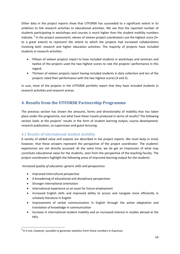Other data in the project reports show that UTFORSK has succeeded to a significant extent in its ambition to link research activities to educational activities. We see that the reported number of students participating in workshops and courses is much higher than the student mobility numbers indicate. <sup>[8](#page-14-2)</sup> In the project assessment, eleven of sixteen project coordinators use the highest score (5= to a great extent) to represent the extent to which the projects had increased collaborations involving both research and higher education activities. The majority of projects have included students in research activities:

- Fifteen of sixteen projects report to have included students in workshops and seminars and twelve of the projects used the two highest scores to rate the projects' performance in this regard.
- Thirteen of sixteen projects report having included students in data collection and ten of the projects rated their performance with the two highest scores (4 and 5).

In sum, most of the projects in the UTFORSK portfolio report that they have included students in research activities and research arenas.

# <span id="page-14-0"></span>**4. Results from the UTFORSK Partnership Programme**

The previous section has shown the amounts, forms and directionality of mobility that has taken place under the programme, but what have these travels produced in terms of results? The following section looks at the projects' results in the form of student learning output, course development, research publication, co-supervision and guest lecturing.

# <span id="page-14-1"></span>4.1 Results of international student mobility

A variety of added value and outputs are described in the project reports. We must keep in mind, however, that these answers represent the perspective of the project coordinator. The students' experiences are not directly accessed. At the same time, we do get an impression of what may constitute educational value for the students, seen from the perspective of the teaching faculty. The project coordinators highlight the following areas of improved learning output for the students:

*Increased quality of education: generic skills and perspectives*

- Improved intercultural perspective
- A broadening of educational and disciplinary perspectives
- Stronger international orientation

l

- International experience as an asset for future employment
- Increased English skills and improved ability to access and navigate more efficiently in scholarly literature in English
- Improvement of verbal communication in English through the active adaptation and translation of knowledge in communication
- Increase in international student mobility and an increased interest in studies abroad at the HEIs

<span id="page-14-2"></span> $8$  It is not, however, possible to generate statistics from these numbers in Espresso.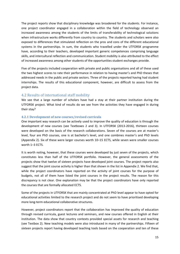The project reports show that disciplinary knowledge was broadened for the students. For instance, one project coordinator engaged in a collaboration within the field of technology observed an increased awareness among the students of the limits of transferability of technological solutions when infrastructure works differently from country to country. The students and scholars were also exposed to differences that stimulated reflection on the pros and cons of the different educational systems in the partnerships. In sum, the students who travelled under the UTFORSK programme have, according to their teachers, developed important generic competences comprising language skills, and intercultural reflection and communication. Student mobility is also attributed to the effect of increased awareness among other students of the opportunities student exchanges provide.

Five of the projects included cooperation with private and public organisations and all of these used the two highest scores to rate their performance in relation to having master's and PhD theses that addressed needs in the public and private sectors. Three of the projects reported having had student internships. The results of this educational component, however, are difficult to assess from the project data.

## <span id="page-15-0"></span>4.2 Results of international staff mobility

We see that a large number of scholars have had a stay at their partner institution during the UTFORSK project. What kind of results do we see from the activities they have engaged in during their stay?

#### <span id="page-15-1"></span>**4.2.1 Development of new courses/revised curricula**

One important way research can be actively used to improve the quality of education is through the development of new courses (see Textboxes 2 and 3). In UTFORSK (2013-2016), thirteen courses were developed on the basis of the research collaborations. Seven of the courses are at master's level, four are PhD courses, one is at bachelor's level, and one combines master's and PhD levels (Appendix 2). Six of these were larger courses worth 10–15 ECTS, while seven were smaller courses worth 1–3 ECTS.

It is worth noting, however, that these courses were developed by just seven of the projects, which constitutes less than half of the UTFORSK portfolio. However, the general assessments of the projects show that twelve of sixteen projects have developed joint courses. The project reports also suggest that the joint course activity is higher than that shown in the list in Appendix 2. We find that, while the project coordinators have reported on the activity of joint courses for the purpose of budgets, not all of them have listed the joint courses in the project results. The reason for this discrepancy is not clear. One explanation may be that the project coordinators have only reported the courses that are formally allocated ECTS.

Some of the projects in UTFORSK that are mainly concentrated at PhD level appear to have opted for educational activities limited to the research project and do not seem to have prioritised developing more long-term educational collaborative structures.

However, project coordinators report that the collaboration has improved the quality of education through revised curricula, guest lectures and seminars, and new courses offered in English at their institution. The data show that country contexts provided special assets for research and teaching (see Textbox 2). New teaching models were also introduced in many of the partnerships. Fifteen of sixteen projects report having developed teaching tools based on the cooperation and ten of these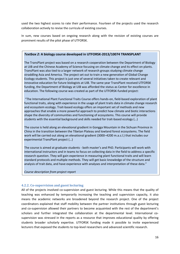used the two highest scores to rate their performance. Fourteen of the projects used the research collaboration actively to revise the curricula of existing courses.

In sum, new courses based on ongoing research along with the revision of existing courses are prominent results of the pilot phase of UTFORSK.

#### *Textbox 2:* **A biology course developed in UTFORSK-2013/10074 TRANSPLANT**

The TransPlant project was based on a research cooperation between the Department of Biology at UiB and the Chinese Academy of Science focusing on climate change and its effect on plants. TransPlant was also tied to a larger network of research groups studying climate change straddling Asia and America. The project set out to train a new generation of Global Change Ecology students. This project is just one of several initiatives taken to create relevant and innovative education for future biologists at UiB. The same year TransPlant received UTFORSK funding, the Department of Biology at UiB was afforded the status as Center for excellence in education. The following course was created as part of the UTFORSK-funded project:

"The International Plant Functional Traits Course offers hands-on, field-based exploration of plant functional traits, along with experience in the usage of plant traits data in climate change research and ecosystem ecology. Trait-based ecology offers an important set of methods and new approaches that enable a more powerful approach to predict how climate and biotic interactions shape the diversity of communities and functioning of ecosystems. This course will provide students with the essential background and skills needed for trait-based ecology (…)

The course is held along an elevational gradient in Gongga Mountain in the Sichuan Province in China in the transition between the Tibetan Plateau and lowland forest ecosystems. The field work will be carried out along an elevational gradient (3000–4200 m.a.s.l.) that includes our experimental TransPlant project (…)

The course is aimed at graduate students - both master's and PhD. Participants will work with international instructors and in teams to focus on collecting data in the field to address a specific research question. They will gain experience in measuring plant functional traits and will learn standard protocols and multiple methods. They will get basic knowledge of the structure and analysis of trait data, and have experience with analyses and interpretation of these data."

*Course description from project report*

#### <span id="page-16-0"></span>**4.2.2. Co-supervision and guest lecturing**

All of the projects involved co-supervision and guest lecturing. While this means that the quality of teaching was enhanced by temporarily increasing the teaching and supervision capacity, it also means the academic networks are broadened beyond the research project. One of the project coordinators explained that staff mobility between the partner institutions through guest lecturing and co-supervision allowed their partners to become acquainted with the rest of the department's scholars and further integrated the collaboration at the departmental level. International cosupervision was stressed in the reports as a resource that improves educational quality by offering students broader scholarly expertise. UTFORSK funding made it possible to invite experienced lecturers that exposed the students to top-level researchers and advanced scientific research.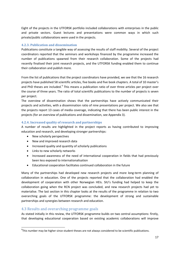Eight of the projects in the UTFORSK portfolio included collaborations with enterprises in the public and private sectors. Guest lectures and presentations were common ways in which such private/public collaborations were used in the projects.

#### <span id="page-17-0"></span>**4.2.3. Publication and dissemination**

Publications constitute a tangible way of assessing the results of staff mobility. Several of the project coordinators reported that the seminars and workshops financed by the programme increased the number of publications spawned from their research collaboration. Some of the projects had recently finalised their joint research projects, and the UTFORSK funding enabled them to continue their collaboration and publish more.

From the list of publications that the project coordinators have provided, we see that the 16 research projects have published 58 scientific articles, five books and five book chapters. A total of 10 master's and PhD theses are included.<sup>[9](#page-17-3)</sup> This means a publication ratio of over three articles per project over the course of three years. The ratio of total scientific publications to the number of projects is seven per project.

The overview of dissemination shows that the partnerships have actively communicated their projects and activities, with a dissemination ratio of nine presentations per project. We also see that the projects report 13 cases of media coverage, indicating that there has been public interest in the projects (for an overview of publications and dissemination, see Appendix 3).

## <span id="page-17-1"></span>**4.2.4. Increased quality of research and partnerships**

A number of results are highlighted in the project reports as having contributed to improving education and research, and developing stronger partnerships:

- New scholarly perspectives
- New and improved research data
- Increased quality and quantity of scholarly publications
- Links to new scholarly networks
- Increased awareness of the need of international cooperation in fields that had previously been less exposed to internationalisation
- Educational cooperation facilitates continued collaboration in the future

Many of the partnerships had developed new research projects and more long-term planning of collaboration in education. One of the projects reported that the collaboration had enabled the development of cooperation with other Norwegian HEIs. SIU's funding had helped to keep the collaboration going when the RCN project was concluded, and new research projects had yet to materialise. The last section in this chapter looks at the results of the programme in relation to two overarching goals of the UTFORSK programme: the development of strong and sustainable partnerships and synergies between research and education.

# <span id="page-17-2"></span>4.3 Results and overarching programme goals

l

As stated initially in this review, the UTFORSK programme builds on two central assumptions: firstly, that developing educational cooperation based on existing academic collaborations will improve

<span id="page-17-3"></span> $^{9}$ This number may be higher since student theses are not always considered to be scientific publications.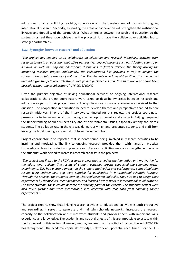educational quality by linking teaching, supervision and the development of courses to ongoing international research. Secondly, expanding the areas of cooperation will strengthen the institutional linkages and durability of the partnerships. What synergies between research and education do the partnerships feel they have achieved in the projects? And have the collaborative activities led to stronger partnerships?

#### <span id="page-18-0"></span>**4.3.1 Synergies between research and education**

*"The project has enabled us to collaborate on education and research initiatives, drawing from research to use in an education that offers perspectives beyond those of each participating country on its own, as well as using our educational discussions to further develop the theory driving the anchoring research project. Additionally, the collaboration has provided a way to deepen the conversation on future arenas of collaboration. The students who have visited China (for the course) and India (for the field research stays) have gained perspectives and data that would not have been possible without the collaboration." UTF-2013/10070*

Given the primary objective of linking educational activities to ongoing international research collaborations, the project coordinators were asked to describe synergies between research and education as part of their project results. The quote above shows one answer we received to that question. The cooperation in education helped to develop themes and perspectives that led to new research initiatives. In one of the interviews conducted for this review, the project coordinator presented a telling example of how having a workshop on poverty and shame in Beijing deepened the understanding of such vulnerability and of environmental issues, especially among the Nordic students. The pollution rate in the city was dangerously high and prevented students and staff from leaving the hotel. Beijing's s poor did not have the same option.

Project coordinators also reported that students found being involved in research activities to be inspiring and motivating. The link to ongoing research provided them with hands-on practical knowledge on how to conduct and plan research. Research activities were also strengthened because the students' work helped to increase research capacity in the projects:

*"The project was linked to the RCN research project that served as the foundation and motivation for the educational activity. The results of student activities directly supported the sounding rocket experiments. This had a strong impact on the student motivation and performance. Some simulation results were entirely new and were suitable for publication in international scientific journals. Through the projects, the students learned what real research looks like. They also had to design their experiments by themselves, meet deadlines, and learned how to work in international collaborations. For some students, these results became the starting point of their thesis. The students' results were also taken further and were incorporated into research with real data from sounding rocket experiments."*

The project reports show that linking research activities to educational activities is both productive and rewarding. It serves to generate and maintain scholarly networks, increases the research capacity of the collaboration and it motivates students and provides them with important skills, experience and knowledge. The academic and societal effects of this are impossible to assess within the framework of this review. However, we may assume that the activity financed through UTFORSK has strengthened the academic capital (knowledge, network and potential recruitment) for the HEIs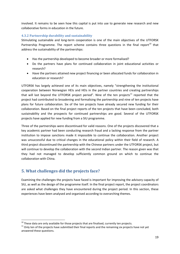involved. It remains to be seen how this capital is put into use to generate new research and new collaborative forms in education in the future.

## <span id="page-19-0"></span>**4.3.2 Partnership durability and sustainability**

Stimulating sustainable and long-term cooperation is one of the main objectives of the UTFORSK Partnership Programme. The report scheme contains three questions in the final report<sup>[10](#page-19-2)</sup> that address the sustainability of the partnerships:

- Has the partnership developed to become broader or more formalised?
- Do the partners have plans for continued collaboration in joint educational activities or research?
- Have the partners attained new project financing or been allocated funds for collaboration in education or research?

UTFORSK has largely achieved one of its main objectives, namely "strengthening the institutional cooperation between Norwegian HEIs and HEIs in the partner countries and creating partnerships that will last beyond the UTFORSK project period". Nine of the ten projects $^{11}$  $^{11}$  $^{11}$  reported that the project had contributed to broadening and formalising the partnership and nine of ten projects have plans for future collaboration. Six of the ten projects have already secured new funding for their collaboration. Based on the final project reports of the ten projects that have been concluded, both sustainability and the prospects for continued partnerships are good. Several of the UTFORSK projects have applied for new funding from a SIU programme.

Three of the partnerships were discontinued for valid reasons. One of the projects discovered that a key academic partner had been conducting research fraud and a lacking response from the partner institution to impose sanctions made it impossible to continue the collaboration. Another project was unsuccessful due to critical changes in the educational policy within their field of research. A third project discontinued the partnership with the Chinese partners under the UTFORSK project, but will continue to develop the collaboration with the second Indian partner. The reason given was that they had not managed to develop sufficiently common ground on which to continue the collaboration with China.

# <span id="page-19-1"></span>**5. What challenges did the projects face?**

 $\overline{a}$ 

Examining the challenges the projects have faced is important for improving the advisory capacity of SIU, as well as the design of the programme itself. In the final project report, the project coordinators are asked what challenges they have encountered during the project period. In this section, these experiences have been analysed and organised according to overarching themes.

<span id="page-19-3"></span><span id="page-19-2"></span><sup>&</sup>lt;sup>10</sup> These data are only available for those projects that are finalised, currently ten projects.<br><sup>11</sup> Only ten of the projects have submitted their final reports and the remaining six projects have not yet answered these questions.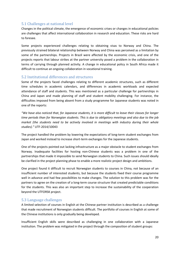# <span id="page-20-0"></span>5.1 Challenges at national level

Changes in the political climate, the emergence of economic crises or changes in educational policies are challenges that affect international collaboration in research and education. These risks are hard to foresee.

Some projects experienced challenges relating to obtaining visas to Norway and China. The previously strained bilateral relationship between Norway and China was perceived as a limitation by some of the partnerships. Projects in Brazil were affected by the economic crisis, and one of the projects reports that labour strikes at the partner university posed a problem in the collaboration in terms of carrying through planned activity. A change in educational policy in South Africa made it difficult to continue an ongoing collaboration in vocational training.

# <span id="page-20-1"></span>5.2 Institutional differences and structures

Some of the projects faced challenges relating to different academic structures, such as different time schedules in academic calendars, and differences in academic workloads and expected attendance of staff and students. This was mentioned as a particular challenge for partnerships in China and Japan and made planning of staff and student mobility challenging. For instance, the difficulties imposed from being absent from a study programme for Japanese students was noted in one of the reports:

*"We have also noticed that, for Japanese students, it is more difficult to leave their classes for longer time periods than for Norwegian students. This is due to obligatory meetings and also due to the job market (the students need to be actively involved in meetings with industry during their whole studies)."* UTF-2014/10043

The project handled the problem by lowering the expectations of long-term student exchanges from Japan and worked instead to increase short-term exchanges for the Japanese students.

One of the projects pointed out lacking infrastructure as a major obstacle to student exchanges from Norway. Inadequate facilities for hosting non-Chinese students was a problem in one of the partnerships that made it impossible to send Norwegian students to China. Such issues should ideally be clarified in the project planning phase to enable a more realistic project design and ambitions.

One project found it difficult to recruit Norwegian students to courses in China, not because of an insufficient number of interested students, but because the students fixed their course programme well in advance and had few possibilities to make changes. The solution to this problem was for the partners to agree on the creation of a long-term course structure that created predictable conditions for the students. This was also an important step to increase the sustainability of the cooperation beyond the UTFORSK project.

# <span id="page-20-2"></span>5.3 Language challenges

A limited selection of courses in English at the Chinese partner institution is described as a challenge that made recruitment of Norwegian students difficult. The portfolio of courses in English at some of the Chinese institutions is only gradually being developed.

Insufficient English skills were described as challenging in one collaboration with a Japanese institution. The problem was mitigated in the project through the composition of student groups: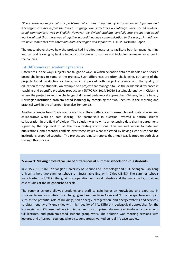*"There were no major cultural problems, which was mitigated by introduction to Japanese and Norwegian cultures before the travel. Language was sometimes a challenge, since not all students could communicate well in English. However, we divided students carefully into groups that could work well and that there was altogether a good language communication in the group. In addition, we have sometimes translated into both Norwegian and Japanese".* UTF-2014/10043 Japan

The quote above shows how the project had included measures to facilitate both language learning and cultural learning by having introduction courses to culture and including language resources in the courses.

## <span id="page-21-0"></span>5.4 Differences in academic practices

Differences in the ways subjects are taught or ways in which scientific data are handled and shared posed challenges to some of the projects. Such differences are often challenging, but some of the projects found productive solutions, which improved both project efficiency and the quality of education for the students. An example of a project that managed to use the academic differences in teaching and scientific practices productively (UTFORSK 2014/10069 Sustainable energy in Cities), is where the project solved the challenge of different pedagogical approaches (Chinese, lecture based/ Norwegian institution problem-based learning) by combining the two: lectures in the morning and practical work in the afternoon (see also Textbox 3).

Another example from China was related to cultural differences in research work, data sharing and collaborative work on data sharing. The partnership in question involved a natural science collaboration in the field of biology. The solution was to write an extensive data sharing agreement, signed by the top level of all the collaborating institutions. This secured access to data and publications, and potential conflicts over these issues were mitigated by having clear rules that the institutions prepared together. The project coordinator reports that much was learned on both sides through this process.

#### *Textbox 3:* **Making productive use of differences at summer schools for PhD students**

In 2015-2016, NTNU Norwegian University of Science and Technology and SJTU Shanghai Jiao Tong University held two summer schools on Sustainable Energy in Cities (SEniC). The summer schools were hosted by SJTU in Shanghai, in cooperation with local industry and the municipality, providing case studies at the neighbourhood scale.

The summer schools allowed students and staff to gain hands-on knowledge and expertise in sustainable energy in cities, by exchanging and learning from Asian and Nordic perspectives on topics such as the potential role of buildings, solar energy, refrigeration, and energy systems and services, to obtain energy-efficient cities with high quality of life. Different pedagogical approaches for the Norwegian and Chinese partners implied a need for comprise between teaching-based courses with full lectures, and problem-based student group work. The solution was morning sessions with lectures and afternoon sessions where student groups worked on real-life case studies.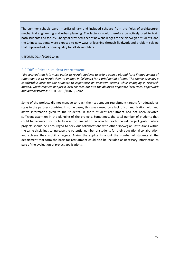The summer schools were interdisciplinary and included scholars from the fields of architecture, mechanical engineering and urban planning. The lectures could therefore be actively used to train both students and faculty. Shanghai provided a set of new challenges to the Norwegian students, and the Chinese students were exposed to new ways of learning through fieldwork and problem solving that improved educational quality for all stakeholders.

UTFORSK 2014/10069 China

## <span id="page-22-0"></span>5.5 Difficulties in student recruitment

*"We learned that it is much easier to recruit students to take a course abroad for a limited length of time than it is to recruit them to engage in fieldwork for a brief period of time. The course provides a comfortable base for the students to experience an unknown setting while engaging in research abroad, which requires not just a local contact, but also the ability to negotiate local rules, paperwork and administrations."* UTF-2013/10070, China

Some of the projects did not manage to reach their set student recruitment targets for educational stays in the partner countries. In some cases, this was caused by a lack of communication with and active information given to the students. In short, student recruitment had not been devoted sufficient attention in the planning of the projects. Sometimes, the total number of students that could be recruited for mobility was too limited to be able to reach the set project goals. Future projects should be encouraged to seek out collaborations with other Norwegian institutions within the same disciplines to increase the potential number of students for their educational collaboration and achieve their mobility targets. Asking the applicants about the number of students at the department that form the basis for recruitment could also be included as necessary information as part of the evaluation of project applications.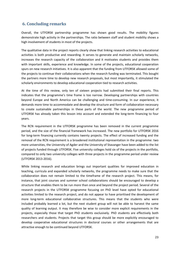# <span id="page-23-0"></span>**6. Concluding remarks**

Overall, the UTFORSK partnership programme has shown good results. The mobility figures demonstrate high activity in the partnerships. The ratio between staff and student mobility shows a high involvement of students in most of the projects.

The qualitative data in the project reports clearly show that linking research activities to educational activities is both productive and rewarding. It serves to generate and maintain scholarly networks, increases the research capacity of the collaboration and it motivates students and provides them with important skills, experience and knowledge. In some of the projects, educational cooperation spurs on new research initiatives. It is also apparent that the funding from UTFORSK allowed some of the projects to continue their collaborations when the research funding was terminated. This bought the partners more time to develop new research proposals, but most importantly, it stimulated the scholarly environments to develop educational cooperation tied to research activities.

At the time of this review, only ten of sixteen projects had submitted their final reports. This indicates that the programme's time frame is too narrow. Developing partnerships with countries beyond Europe and North America can be challenging and time-consuming. In our experience, it demands more time to accommodate and develop the structure and form of collaboration necessary to create sustainable partnerships in these parts of the world. The new programme period of UTFORSK has already taken this lesson into account and extended the long-term financing to four years.

The RCN requirement in the UTFORSK programme has been removed in the current programme period, and the size of the financial framework has increased. The new portfolio for UTFORSK 2016 for long-term financing currently contains twenty projects. The effect of increased funding and the removal of the RCN requirement is a broadened institutional representation in the programme: two more universities, the University of Agder and the University of Stavanger have been added to the list of projects funded through UTFORSK. Five university colleges hold six of the projects in the portfolio, compared to only two university colleges with three projects in the programme period under review (UTFORSK 2013-2016).

While linking research and education brings out important qualities for improved education in teaching, curricula and expanded scholarly networks, the programme needs to make sure that the collaboration does not remain limited to the timeframe of the research project. This means, for instance, that joint courses and summer school collaborations should be encouraged to develop a structure that enables them to be run more than once and beyond the project period. Several of the research projects in the UTFORSK programme focusing on PhD level have opted for educational activities limited to the research project, and do not appear to have prioritised the development of more long-term educational collaborative structures. This means that the students who were included probably learned a lot, but the next student group will not be able to harvest the same quality of learning output. It may therefore be wise to consider more explicit requirements in the projects, especially those that target PhD students exclusively. PhD students are effectively both researchers and students. Projects that target this group should be more explicitly encouraged to develop cooperative educational structures in doctoral courses or other arrangements that are attractive enough to be continued beyond UTFORSK.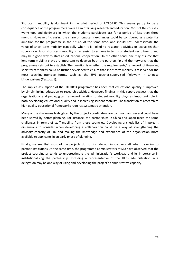Short-term mobility is dominant in the pilot period of UTFORSK. This seems partly to be a consequence of the programme's overall aim of linking research and education. Most of the courses, workshops and fieldwork in which the students participate last for a period of less than three months. However, increasing the share of long-term exchanges could be considered as a potential ambition for the programme in the future. At the same time, one should not underestimate the value of short-term mobility especially when it is linked to research activities or active teacher supervision. Also, short-term mobility is far easier to achieve in terms of student recruitment, and may be a good way to start an educational cooperation. On the other hand, one may assume that long-term mobility stays are important to develop both the partnership and the networks that the programme sets out to establish. The question is whether the requirements/framework of financing short-term mobility could be further developed to ensure that short-term mobility is reserved for the most teaching-intensive forms, such as the HVL teacher-supervised fieldwork in Chinese kindergartens (Textbox 1).

The implicit assumption of the UTFORSK programme has been that educational quality is improved by simply linking education to research activities. However, findings in this report suggest that the organisational and pedagogical framework relating to student mobility plays an important role in both developing educational quality and in increasing student mobility. The translation of research to high quality educational frameworks requires systematic attention.

Many of the challenges highlighted by the project coordinators are common, and several could have been solved by better planning. For instance, the partnerships in China and Japan faced the same challenges in terms of staff mobility from these countries. Developing a check list of important dimensions to consider when developing a collaboration could be a way of strengthening the advisory capacity of SIU and making the knowledge and experience of the organisation more available to applicants in an early phase of planning.

Finally, we see that most of the projects do not include administrative staff when travelling to partner institutions. At the same time, the programme administrators at SIU have observed that the project coordinator tends to underestimate the administration's workload and its importance in institutionalising the partnership. Including a representative of the HEI's administration in a delegation may be one way of using and developing the project's administrative capacity.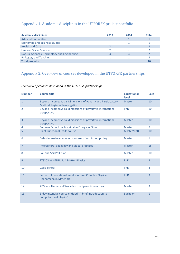# <span id="page-25-0"></span>Appendix 1. Academic disciplines in the UTFORSK project portfolio

| <b>Academic disciplines</b>                  | 2013 | 2014 | Total |
|----------------------------------------------|------|------|-------|
| <b>Arts and Humanities</b>                   |      |      |       |
| <b>Economics and Business studies</b>        |      |      |       |
| <b>Health and Care</b>                       |      |      |       |
| Law and Social Sciences                      |      |      |       |
| Natural Sciences, Technology and Engineering |      |      |       |
| Pedagogy and Teaching                        |      |      |       |
| <b>Total projects</b>                        |      |      |       |

# <span id="page-25-1"></span>Appendix 2. Overview of courses developed in the UTFORSK partnerships

# *Overview of courses developed in the UTFORSK partnerships*

<span id="page-25-2"></span>

| <b>Number</b>  | <b>Course title</b>                                                                             | <b>Educational</b><br>level | <b>ECTS</b>    |
|----------------|-------------------------------------------------------------------------------------------------|-----------------------------|----------------|
| $\mathbf{1}$   | Beyond Income: Social Dimensions of Poverty and Participatory<br>Methodologies of Investigation | <b>Master</b>               | 10             |
| 2              | Beyond Income: Social dimensions of poverty in international<br>perspective                     | PhD                         | 10             |
| 3              | Beyond Income: Social dimensions of poverty in international<br>perspective                     | <b>Master</b>               | 10             |
| 4              | Summer School on Sustainable Energy in Cities                                                   | <b>Master</b>               | $\overline{7}$ |
| 5              | <b>Plant Functional Traits course</b>                                                           | Master/PhD                  | 10             |
| 6              | 3-day intensive course on modern scientific computing                                           | <b>Master</b>               | $\mathbf{1}$   |
| $\overline{7}$ | Intercultural pedagogy and global practices                                                     | <b>Master</b>               | 15             |
| 8              | Soil and Soil Pollution                                                                         | <b>Master</b>               | 10             |
| 9              | FY8203 at NTNU: Soft Matter Physics                                                             | PhD                         | $\overline{3}$ |
| 10             | Geilo School                                                                                    | PhD                         | 3              |
| 11             | Series of International Workshops on Complex Physical<br>Phenomena in Materials                 | PhD                         | $\overline{3}$ |
| 12             | 4DSpace Numerical Workshop on Space Simulations.                                                | <b>Master</b>               | 3              |
| 13             | 3-day intensive course entitled "A brief introduction to<br>computational physics"              | <b>Bachelor</b>             | $\mathbf{1}$   |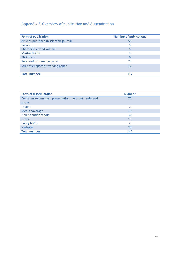# Appendix 3. Overview of publication and dissemination

| <b>Form of publication</b>               | <b>Number of publications</b> |
|------------------------------------------|-------------------------------|
| Articles published in scientific journal | 58                            |
| <b>Books</b>                             | 5                             |
| Chapter in edited volume                 | 5                             |
| Master thesis                            | 4                             |
| <b>PhD thesis</b>                        | 6                             |
| Refereed conference paper                | 27                            |
| Scientific report or working paper       | 12                            |
| <b>Total number</b>                      | 117                           |

| <b>Form of dissemination</b>                     |  |  |  | <b>Number</b> |
|--------------------------------------------------|--|--|--|---------------|
| Conference/seminar presentation without refereed |  |  |  | 75            |
| paper                                            |  |  |  |               |
| Leaflet                                          |  |  |  | $\mathcal{P}$ |
| Media coverage                                   |  |  |  | 13            |
| Non-scientific report                            |  |  |  | 6             |
| Other                                            |  |  |  | 19            |
| <b>Policy briefs</b>                             |  |  |  | 2             |
| Website                                          |  |  |  | 27            |
| <b>Total number</b>                              |  |  |  | 144           |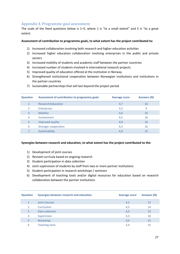# <span id="page-27-0"></span>Appendix 4. Programme goal assessment

The scale of the fixed questions below is 1–5, where 1 is "to a small extent" and 5 is "to a great extent.

#### **Assessment of contribution to programme goals, to what extent has the project contributed to:**

- 1) Increased collaboration involving both research and higher education activities
- 2) Increased higher education collaboration involving enterprises in the public and private sectors
- 3) Increased mobility of students and academic staff between the partner countries
- 4) Increased number of students involved in international research projects
- 5) Improved quality of education offered at the institution in Norway
- 6) Strengthened institutional cooperation between Norwegian institutions and institutions in the partner countries
- 7) Sustainable partnerships that will last beyond the project period

| <b>Question</b> | Assessment of contribution to programme goals | <b>Average score</b> | <b>Answers (N)</b> |
|-----------------|-----------------------------------------------|----------------------|--------------------|
| $\mathbf{1}$    | Research/education                            | 4,7                  | 16                 |
| $\mathcal{P}$   | <b>Enterprises</b>                            | 3,3                  | 9                  |
| 3               | <b>Mobility</b>                               | 4,6                  | 16                 |
| 4               | Involvement                                   | 4,5                  | 16                 |
| 5               | Improved quality                              | 4,0                  | 16                 |
| 6               | <b>Stronger cooperation</b>                   | 4,3                  | 16                 |
|                 | Sustainability                                | 4,4                  | 15                 |

#### **Synergies between research and education, to what extent has the project contributed to the:**

- 1) Development of joint courses
- 2) Revised curricula based on ongoing research
- 3) Student participation in data collection
- 4) Joint supervision of students by staff from two or more partner institutions
- 5) Student participation in research workshops / seminars
- 6) Development of teaching tools and/or digital resources for education based on research collaboration between the partner institutions

| <b>Question</b> | Synergies between research and education | <b>Average score</b> | <b>Answers (N)</b> |
|-----------------|------------------------------------------|----------------------|--------------------|
| 1               | <b>Joint Courses</b>                     | 4,5                  | 12                 |
| 2               | Curriculum                               | 4,5                  | 14                 |
| 3               | Data collection                          | 4,3                  | 13                 |
| 4               | Supervision                              | 4,3                  | 16                 |
| 5               | Workshop                                 | 4,4                  | 15                 |
| 6               | <b>Teaching tools</b>                    | 3,4                  | 15                 |